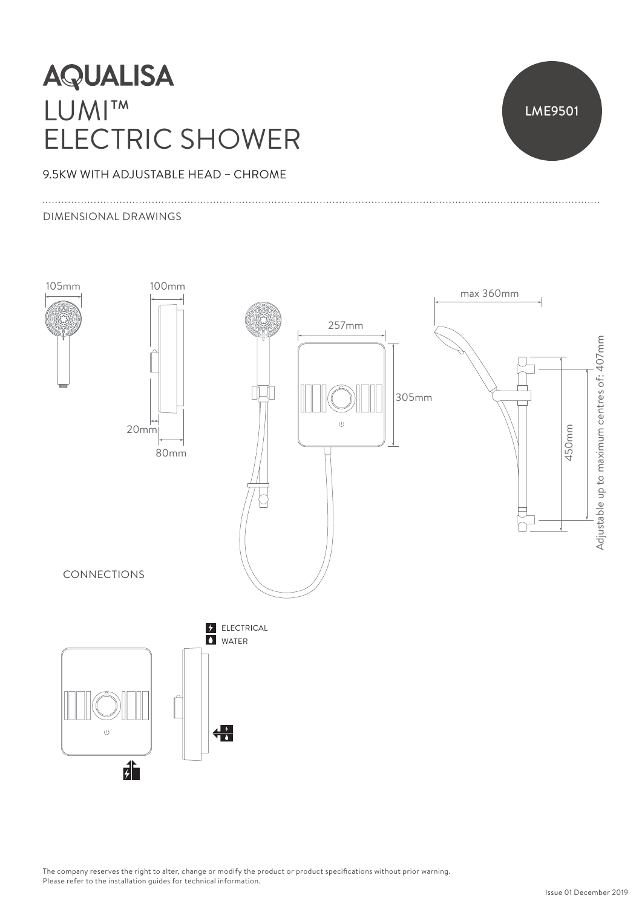# **AQUALISA** LUMI™ ELECTRIC SHOWER



### 9.5KW WITH ADJUSTABLE HEAD – CHROME

#### DIMENSIONAL DRAWINGS



The company reserves the right to alter, change or modify the product or product specifications without prior warning. Please refer to the installation guides for technical information.